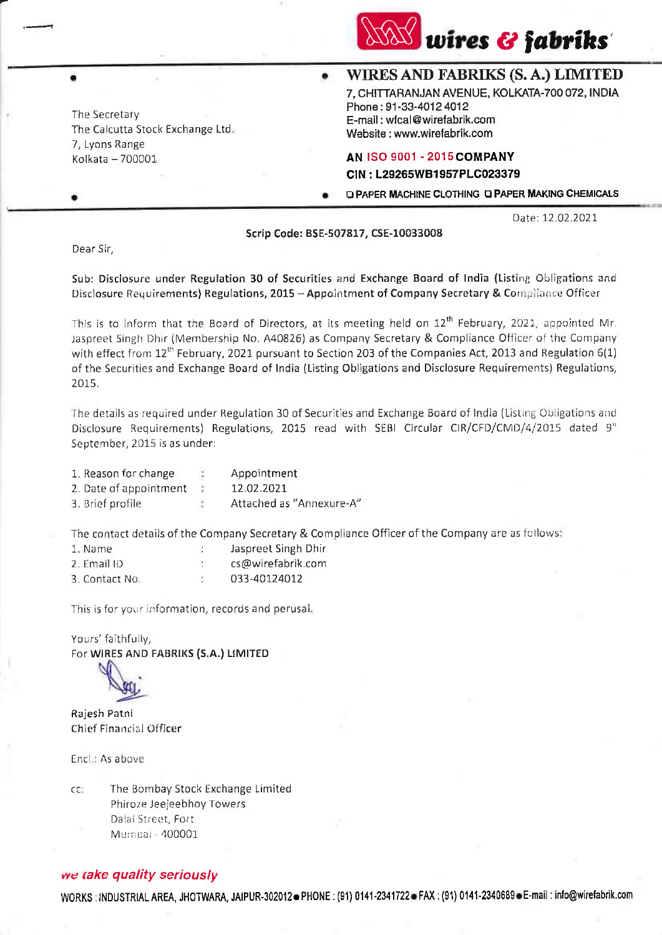

The Secretary The Calcutta Stock Exchange Ltd. 7, Lyons Range Kolkata - 700001

## WIRES AND FABRIKS (S. A.) LIMITED 7. CHITTARANJAN AVENUE, KOLKATA-700 072, INDIA

Phone: 91-33-4012 4012 E-mail: wfcal@wirefabrik.com Website: www.wirefabrik.com

## **AN ISO 9001 - 2015 COMPANY**

CIN: L29265WB1957PLC023379

**Q PAPER MACHINE CLOTHING Q PAPER MAKING CHEMICALS** 

Date: 12.02.2021

Scrip Code: BSE-507817, CSE-10033008

Dear Sir,

Sub: Disclosure under Regulation 30 of Securities and Exchange Board of India (Listing Obligations and Disclosure Requirements) Regulations, 2015 - Appointment of Company Secretary & Compilance Officer

This is to inform that the Board of Directors, at its meeting held on 12<sup>th</sup> February, 2021, appointed Mr. Jaspreet Singh Dhir (Membership No. A40826) as Company Secretary & Compliance Officer of the Company with effect from  $12^{th}$  February, 2021 pursuant to Section 203 of the Companies Act, 2013 and Regulation 6(1) of the Securities and Exchange Board of India (Listing Obligations and Disclosure Requirements) Regulations, 2015.

The details as required under Regulation 30 of Securities and Exchange Board of India (Listing Obligations and Disclosure Requirements) Regulations, 2015 read with SEBI Circular CIR/CFD/CMD/4/2015 dated 9" September, 2015 is as under:

| 1. Reason for change   |      | Appointment              |
|------------------------|------|--------------------------|
| 2. Date of appointment | - 12 | 12.02.2021               |
| 3. Brief profile       | Ť,   | Attached as "Annexure-A" |

The contact details of the Company Secretary & Compliance Officer of the Company are as follows:

| 1. Name        |   | Jaspreet Singh Dhir |
|----------------|---|---------------------|
| 2. Email ID    | ٠ | cs@wirefabrik.com   |
| 3. Contact No. |   | 033-40124012        |

This is for your information, records and perusal.

Yours' faithfully, For WIRES AND FABRIKS (S.A.) LIMITED

Rajesh Patni Chief Financial Officer

Encl.: As above

The Bombay Stock Exchange Limited cc: Phiroze Jeejeebhoy Towers Dalal Street, Fort Mumpai - 400001

## we take quality seriously

WORKS: INDUSTRIAL AREA, JHOTWARA, JAIPUR-302012 PHONE: (91) 0141-2341722 FAX: (91) 0141-2340689 E-mail: info@wirefabrik.com